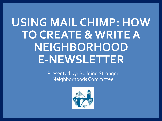# **USING MAIL CHIMP: HOW TO CREATE & WRITE A NEIGHBORHOOD E-NEWSLETTER**

Presented by: Building Stronger Neighborhoods Committee

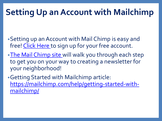## **Setting Up an Account with Mailchimp**

- •Setting up an Account with Mail Chimp is easy and free! [Click Here](https://login.mailchimp.com/signup/?_ga=2.165884222.16510720.1532371469-1081540158.1476315982) to sign up for your free account.
- [•The Mail Chimp site w](https://mailchimp.com/help/create-an-account/)ill walk you through each step to get you on your way to creating a newsletter for your neighborhood!
- •Getting Started with Mailchimp article: [https://mailchimp.com/help/getting-started-with](https://mailchimp.com/help/getting-started-with-mailchimp/)mailchimp/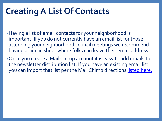#### **Creating A List Of Contacts**

- •Having a list of email contacts for your neighborhood is important. If you do not currently have an email list for those attending your neighborhood council meetings we recommend having a sign in sheet where folks can leave their email address.
- •Once you create a Mail Chimp account it is easy to add emails to the newsletter distribution list. If you have an existing email list you can import that list per the Mail Chimp directions listed here.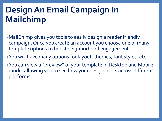### **Design An Email Campaign In Mailchimp**

- •MailChimp gives you tools to easily design a reader friendly campaign. Once you create an account you choose one of many template options to boost neighborhood engagement.
- •You will have many options for layout, themes, font styles, etc.
- •You can view a "preview" of your template in Desktop and Mobile mode, allowing you to see how your design looks across different platforms.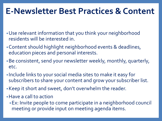#### **E-Newsletter Best Practices & Content**

- •Use relevant information that you think your neighborhood residents will be interested in.
- •Content should highlight neighborhood events & deadlines, education pieces and personal interests.
- •Be consistent, send your newsletter weekly, monthly, quarterly, etc.
- Include links to your social media sites to make it easy for subscribers to share your content and grow your subscriber list.
- •Keep it short and sweet, don't overwhelm the reader.
- •Have a call to action
	- •Ex: Invite people to come participate in a neighborhood council meeting or provide input on meeting agenda items.